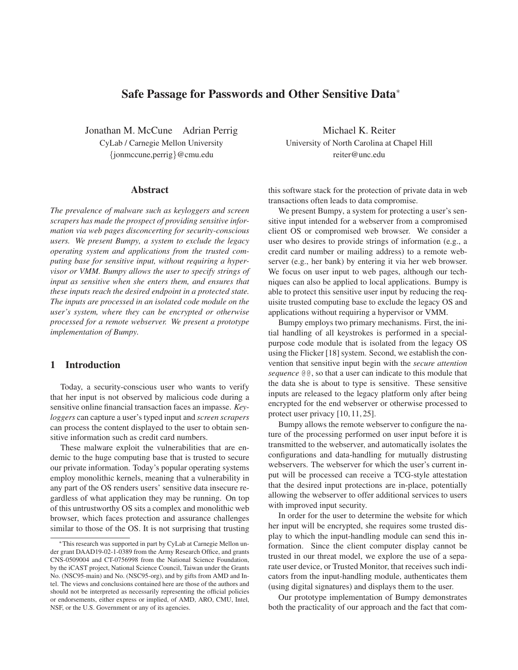# **Safe Passage for Passwords and Other Sensitive Data**<sup>∗</sup>

Jonathan M. McCune Adrian Perrig Michael K. Reiter {jonmccune,perrig}@cmu.edu reiter@unc.edu

### **Abstract**

*The prevalence of malware such as keyloggers and screen scrapers has made the prospect of providing sensitive information via web pages disconcerting for security-conscious users. We present Bumpy, a system to exclude the legacy operating system and applications from the trusted computing base for sensitive input, without requiring a hypervisor or VMM. Bumpy allows the user to specify strings of input as sensitive when she enters them, and ensures that these inputs reach the desired endpoint in a protected state. The inputs are processed in an isolated code module on the user's system, where they can be encrypted or otherwise processed for a remote webserver. We present a prototype implementation of Bumpy.*

## **1 Introduction**

Today, a security-conscious user who wants to verify that her input is not observed by malicious code during a sensitive online financial transaction faces an impasse. *Keyloggers* can capture a user's typed input and *screen scrapers* can process the content displayed to the user to obtain sensitive information such as credit card numbers.

These malware exploit the vulnerabilities that are endemic to the huge computing base that is trusted to secure our private information. Today's popular operating systems employ monolithic kernels, meaning that a vulnerability in any part of the OS renders users' sensitive data insecure regardless of what application they may be running. On top of this untrustworthy OS sits a complex and monolithic web browser, which faces protection and assurance challenges similar to those of the OS. It is not surprising that trusting

CyLab / Carnegie Mellon University University of North Carolina at Chapel Hill

this software stack for the protection of private data in web transactions often leads to data compromise.

We present Bumpy, a system for protecting a user's sensitive input intended for a webserver from a compromised client OS or compromised web browser. We consider a user who desires to provide strings of information (e.g., a credit card number or mailing address) to a remote webserver (e.g., her bank) by entering it via her web browser. We focus on user input to web pages, although our techniques can also be applied to local applications. Bumpy is able to protect this sensitive user input by reducing the requisite trusted computing base to exclude the legacy OS and applications without requiring a hypervisor or VMM.

Bumpy employs two primary mechanisms. First, the initial handling of all keystrokes is performed in a specialpurpose code module that is isolated from the legacy OS using the Flicker [18] system. Second, we establish the convention that sensitive input begin with the *secure attention sequence* @@, so that a user can indicate to this module that the data she is about to type is sensitive. These sensitive inputs are released to the legacy platform only after being encrypted for the end webserver or otherwise processed to protect user privacy [10, 11, 25].

Bumpy allows the remote webserver to configure the nature of the processing performed on user input before it is transmitted to the webserver, and automatically isolates the configurations and data-handling for mutually distrusting webservers. The webserver for which the user's current input will be processed can receive a TCG-style attestation that the desired input protections are in-place, potentially allowing the webserver to offer additional services to users with improved input security.

In order for the user to determine the website for which her input will be encrypted, she requires some trusted display to which the input-handling module can send this information. Since the client computer display cannot be trusted in our threat model, we explore the use of a separate user device, or Trusted Monitor, that receives such indicators from the input-handling module, authenticates them (using digital signatures) and displays them to the user.

Our prototype implementation of Bumpy demonstrates both the practicality of our approach and the fact that com-

<sup>∗</sup>This research was supported in part by CyLab at Carnegie Mellon under grant DAAD19-02-1-0389 from the Army Research Office, and grants CNS-0509004 and CT-0756998 from the National Science Foundation, by the iCAST project, National Science Council, Taiwan under the Grants No. (NSC95-main) and No. (NSC95-org), and by gifts from AMD and Intel. The views and conclusions contained here are those of the authors and should not be interpreted as necessarily representing the official policies or endorsements, either express or implied, of AMD, ARO, CMU, Intel, NSF, or the U.S. Government or any of its agencies.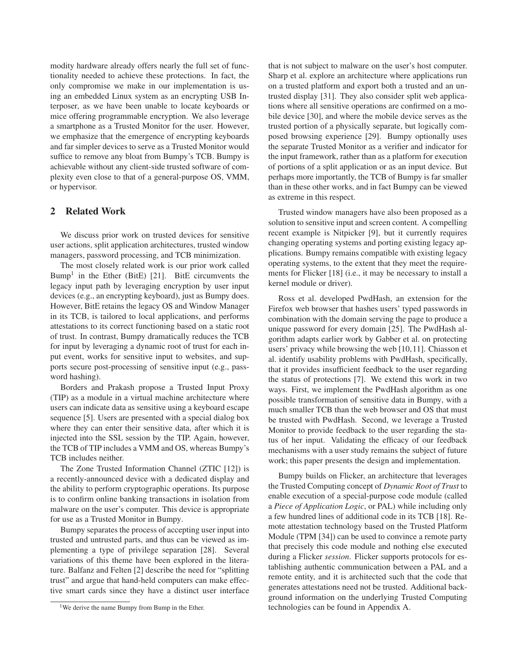modity hardware already offers nearly the full set of functionality needed to achieve these protections. In fact, the only compromise we make in our implementation is using an embedded Linux system as an encrypting USB Interposer, as we have been unable to locate keyboards or mice offering programmable encryption. We also leverage a smartphone as a Trusted Monitor for the user. However, we emphasize that the emergence of encrypting keyboards and far simpler devices to serve as a Trusted Monitor would suffice to remove any bloat from Bumpy's TCB. Bumpy is achievable without any client-side trusted software of complexity even close to that of a general-purpose OS, VMM, or hypervisor.

## **2 Related Work**

We discuss prior work on trusted devices for sensitive user actions, split application architectures, trusted window managers, password processing, and TCB minimization.

The most closely related work is our prior work called Bump<sup>1</sup> in the Ether (BitE) [21]. BitE circumvents the legacy input path by leveraging encryption by user input devices (e.g., an encrypting keyboard), just as Bumpy does. However, BitE retains the legacy OS and Window Manager in its TCB, is tailored to local applications, and performs attestations to its correct functioning based on a static root of trust. In contrast, Bumpy dramatically reduces the TCB for input by leveraging a dynamic root of trust for each input event, works for sensitive input to websites, and supports secure post-processing of sensitive input (e.g., password hashing).

Borders and Prakash propose a Trusted Input Proxy (TIP) as a module in a virtual machine architecture where users can indicate data as sensitive using a keyboard escape sequence [5]. Users are presented with a special dialog box where they can enter their sensitive data, after which it is injected into the SSL session by the TIP. Again, however, the TCB of TIP includes a VMM and OS, whereas Bumpy's TCB includes neither.

The Zone Trusted Information Channel (ZTIC [12]) is a recently-announced device with a dedicated display and the ability to perform cryptographic operations. Its purpose is to confirm online banking transactions in isolation from malware on the user's computer. This device is appropriate for use as a Trusted Monitor in Bumpy.

Bumpy separates the process of accepting user input into trusted and untrusted parts, and thus can be viewed as implementing a type of privilege separation [28]. Several variations of this theme have been explored in the literature. Balfanz and Felten [2] describe the need for "splitting trust" and argue that hand-held computers can make effective smart cards since they have a distinct user interface

that is not subject to malware on the user's host computer. Sharp et al. explore an architecture where applications run on a trusted platform and export both a trusted and an untrusted display [31]. They also consider split web applications where all sensitive operations are confirmed on a mobile device [30], and where the mobile device serves as the trusted portion of a physically separate, but logically composed browsing experience [29]. Bumpy optionally uses the separate Trusted Monitor as a verifier and indicator for the input framework, rather than as a platform for execution of portions of a split application or as an input device. But perhaps more importantly, the TCB of Bumpy is far smaller than in these other works, and in fact Bumpy can be viewed as extreme in this respect.

Trusted window managers have also been proposed as a solution to sensitive input and screen content. A compelling recent example is Nitpicker [9], but it currently requires changing operating systems and porting existing legacy applications. Bumpy remains compatible with existing legacy operating systems, to the extent that they meet the requirements for Flicker [18] (i.e., it may be necessary to install a kernel module or driver).

Ross et al. developed PwdHash, an extension for the Firefox web browser that hashes users' typed passwords in combination with the domain serving the page to produce a unique password for every domain [25]. The PwdHash algorithm adapts earlier work by Gabber et al. on protecting users' privacy while browsing the web [10,11]. Chiasson et al. identify usability problems with PwdHash, specifically, that it provides insufficient feedback to the user regarding the status of protections [7]. We extend this work in two ways. First, we implement the PwdHash algorithm as one possible transformation of sensitive data in Bumpy, with a much smaller TCB than the web browser and OS that must be trusted with PwdHash. Second, we leverage a Trusted Monitor to provide feedback to the user regarding the status of her input. Validating the efficacy of our feedback mechanisms with a user study remains the subject of future work; this paper presents the design and implementation.

Bumpy builds on Flicker, an architecture that leverages the Trusted Computing concept of *Dynamic Root of Trust* to enable execution of a special-purpose code module (called a *Piece of Application Logic*, or PAL) while including only a few hundred lines of additional code in its TCB [18]. Remote attestation technology based on the Trusted Platform Module (TPM [34]) can be used to convince a remote party that precisely this code module and nothing else executed during a Flicker *session*. Flicker supports protocols for establishing authentic communication between a PAL and a remote entity, and it is architected such that the code that generates attestations need not be trusted. Additional background information on the underlying Trusted Computing technologies can be found in Appendix A.

<sup>1</sup>We derive the name Bumpy from Bump in the Ether.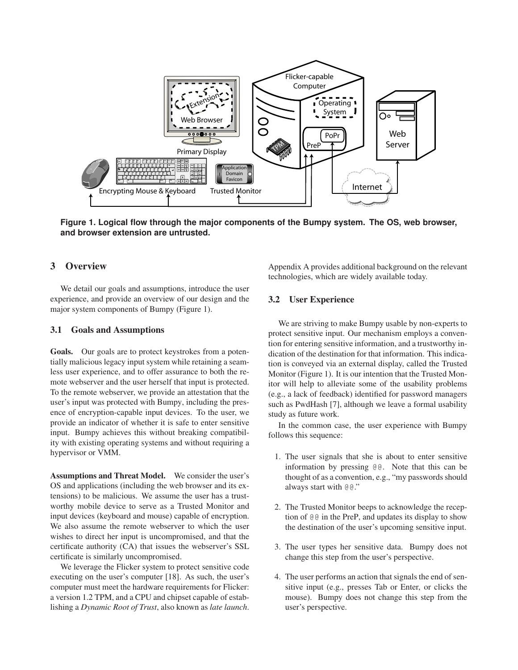

**Figure 1. Logical flow through the major components of the Bumpy system. The OS, web browser, and browser extension are untrusted.**

# **3 Overview**

We detail our goals and assumptions, introduce the user experience, and provide an overview of our design and the major system components of Bumpy (Figure 1).

#### **3.1 Goals and Assumptions**

**Goals.** Our goals are to protect keystrokes from a potentially malicious legacy input system while retaining a seamless user experience, and to offer assurance to both the remote webserver and the user herself that input is protected. To the remote webserver, we provide an attestation that the user's input was protected with Bumpy, including the presence of encryption-capable input devices. To the user, we provide an indicator of whether it is safe to enter sensitive input. Bumpy achieves this without breaking compatibility with existing operating systems and without requiring a hypervisor or VMM.

**Assumptions and Threat Model.** We consider the user's OS and applications (including the web browser and its extensions) to be malicious. We assume the user has a trustworthy mobile device to serve as a Trusted Monitor and input devices (keyboard and mouse) capable of encryption. We also assume the remote webserver to which the user wishes to direct her input is uncompromised, and that the certificate authority (CA) that issues the webserver's SSL certificate is similarly uncompromised.

We leverage the Flicker system to protect sensitive code executing on the user's computer [18]. As such, the user's computer must meet the hardware requirements for Flicker: a version 1.2 TPM, and a CPU and chipset capable of establishing a *Dynamic Root of Trust*, also known as *late launch*. Appendix A provides additional background on the relevant technologies, which are widely available today.

## **3.2 User Experience**

We are striving to make Bumpy usable by non-experts to protect sensitive input. Our mechanism employs a convention for entering sensitive information, and a trustworthy indication of the destination for that information. This indication is conveyed via an external display, called the Trusted Monitor (Figure 1). It is our intention that the Trusted Monitor will help to alleviate some of the usability problems (e.g., a lack of feedback) identified for password managers such as PwdHash [7], although we leave a formal usability study as future work.

In the common case, the user experience with Bumpy follows this sequence:

- 1. The user signals that she is about to enter sensitive information by pressing @@. Note that this can be thought of as a convention, e.g., "my passwords should always start with @@."
- 2. The Trusted Monitor beeps to acknowledge the reception of @@ in the PreP, and updates its display to show the destination of the user's upcoming sensitive input.
- 3. The user types her sensitive data. Bumpy does not change this step from the user's perspective.
- 4. The user performs an action that signals the end of sensitive input (e.g., presses Tab or Enter, or clicks the mouse). Bumpy does not change this step from the user's perspective.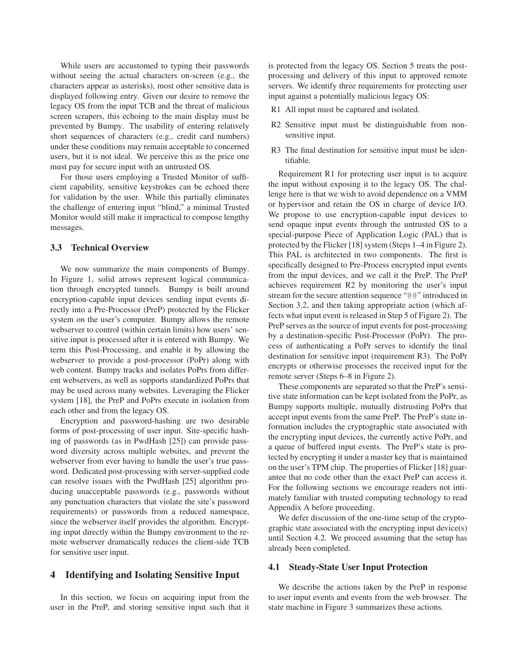While users are accustomed to typing their passwords without seeing the actual characters on-screen (e.g., the characters appear as asterisks), most other sensitive data is displayed following entry. Given our desire to remove the legacy OS from the input TCB and the threat of malicious screen scrapers, this echoing to the main display must be prevented by Bumpy. The usability of entering relatively short sequences of characters (e.g., credit card numbers) under these conditions may remain acceptable to concerned users, but it is not ideal. We perceive this as the price one must pay for secure input with an untrusted OS.

For those users employing a Trusted Monitor of sufficient capability, sensitive keystrokes can be echoed there for validation by the user. While this partially eliminates the challenge of entering input "blind," a minimal Trusted Monitor would still make it impractical to compose lengthy messages.

### **3.3 Technical Overview**

We now summarize the main components of Bumpy. In Figure 1, solid arrows represent logical communication through encrypted tunnels. Bumpy is built around encryption-capable input devices sending input events directly into a Pre-Processor (PreP) protected by the Flicker system on the user's computer. Bumpy allows the remote webserver to control (within certain limits) how users' sensitive input is processed after it is entered with Bumpy. We term this Post-Processing, and enable it by allowing the webserver to provide a post-processor (PoPr) along with web content. Bumpy tracks and isolates PoPrs from different webservers, as well as supports standardized PoPrs that may be used across many websites. Leveraging the Flicker system [18], the PreP and PoPrs execute in isolation from each other and from the legacy OS.

Encryption and password-hashing are two desirable forms of post-processing of user input. Site-specific hashing of passwords (as in PwdHash [25]) can provide password diversity across multiple websites, and prevent the webserver from ever having to handle the user's true password. Dedicated post-processing with server-supplied code can resolve issues with the PwdHash [25] algorithm producing unacceptable passwords (e.g., passwords without any punctuation characters that violate the site's password requirements) or passwords from a reduced namespace, since the webserver itself provides the algorithm. Encrypting input directly within the Bumpy environment to the remote webserver dramatically reduces the client-side TCB for sensitive user input.

### **4 Identifying and Isolating Sensitive Input**

In this section, we focus on acquiring input from the user in the PreP, and storing sensitive input such that it is protected from the legacy OS. Section 5 treats the postprocessing and delivery of this input to approved remote servers. We identify three requirements for protecting user input against a potentially malicious legacy OS:

- R1 All input must be captured and isolated.
- R2 Sensitive input must be distinguishable from nonsensitive input.
- R3 The final destination for sensitive input must be identifiable.

Requirement R1 for protecting user input is to acquire the input without exposing it to the legacy OS. The challenge here is that we wish to avoid dependence on a VMM or hypervisor and retain the OS in charge of device I/O. We propose to use encryption-capable input devices to send opaque input events through the untrusted OS to a special-purpose Piece of Application Logic (PAL) that is protected by the Flicker [18] system (Steps 1–4 in Figure 2). This PAL is architected in two components. The first is specifically designed to Pre-Process encrypted input events from the input devices, and we call it the PreP. The PreP achieves requirement R2 by monitoring the user's input stream for the secure attention sequence "@@" introduced in Section 3.2, and then taking appropriate action (which affects what input event is released in Step 5 of Figure 2). The PreP serves as the source of input events for post-processing by a destination-specific Post-Processor (PoPr). The process of authenticating a PoPr serves to identify the final destination for sensitive input (requirement R3). The PoPr encrypts or otherwise processes the received input for the remote server (Steps 6–8 in Figure 2).

These components are separated so that the PreP's sensitive state information can be kept isolated from the PoPr, as Bumpy supports multiple, mutually distrusting PoPrs that accept input events from the same PreP. The PreP's state information includes the cryptographic state associated with the encrypting input devices, the currently active PoPr, and a queue of buffered input events. The PreP's state is protected by encrypting it under a master key that is maintained on the user's TPM chip. The properties of Flicker [18] guarantee that no code other than the exact PreP can access it. For the following sections we encourage readers not intimately familiar with trusted computing technology to read Appendix A before proceeding.

We defer discussion of the one-time setup of the cryptographic state associated with the encrypting input device(s) until Section 4.2. We proceed assuming that the setup has already been completed.

## **4.1 Steady-State User Input Protection**

We describe the actions taken by the PreP in response to user input events and events from the web browser. The state machine in Figure 3 summarizes these actions.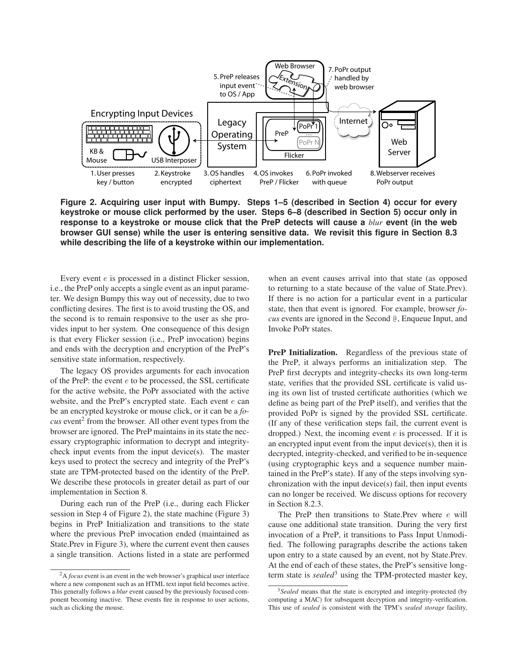

**Figure 2. Acquiring user input with Bumpy. Steps 1–5 (described in Section 4) occur for every keystroke or mouse click performed by the user. Steps 6–8 (described in Section 5) occur only in response to a keystroke or mouse click that the PreP detects will cause a** *blur* **event (in the web browser GUI sense) while the user is entering sensitive data. We revisit this figure in Section 8.3 while describing the life of a keystroke within our implementation.**

Every event e is processed in a distinct Flicker session, i.e., the PreP only accepts a single event as an input parameter. We design Bumpy this way out of necessity, due to two conflicting desires. The first is to avoid trusting the OS, and the second is to remain responsive to the user as she provides input to her system. One consequence of this design is that every Flicker session (i.e., PreP invocation) begins and ends with the decryption and encryption of the PreP's sensitive state information, respectively.

The legacy OS provides arguments for each invocation of the PreP: the event  $e$  to be processed, the SSL certificate for the active website, the PoPr associated with the active website, and the PreP's encrypted state. Each event  $e$  can be an encrypted keystroke or mouse click, or it can be a *fo-* $\cos$  event<sup>2</sup> from the browser. All other event types from the browser are ignored. The PreP maintains in its state the necessary cryptographic information to decrypt and integritycheck input events from the input device(s). The master keys used to protect the secrecy and integrity of the PreP's state are TPM-protected based on the identity of the PreP. We describe these protocols in greater detail as part of our implementation in Section 8.

During each run of the PreP (i.e., during each Flicker session in Step 4 of Figure 2), the state machine (Figure 3) begins in PreP Initialization and transitions to the state where the previous PreP invocation ended (maintained as State.Prev in Figure 3), where the current event then causes a single transition. Actions listed in a state are performed

when an event causes arrival into that state (as opposed to returning to a state because of the value of State.Prev). If there is no action for a particular event in a particular state, then that event is ignored. For example, browser *focus* events are ignored in the Second @, Enqueue Input, and Invoke PoPr states.

**PreP Initialization.** Regardless of the previous state of the PreP, it always performs an initialization step. The PreP first decrypts and integrity-checks its own long-term state, verifies that the provided SSL certificate is valid using its own list of trusted certificate authorities (which we define as being part of the PreP itself), and verifies that the provided PoPr is signed by the provided SSL certificate. (If any of these verification steps fail, the current event is dropped.) Next, the incoming event  $e$  is processed. If it is an encrypted input event from the input device(s), then it is decrypted, integrity-checked, and verified to be in-sequence (using cryptographic keys and a sequence number maintained in the PreP's state). If any of the steps involving synchronization with the input device(s) fail, then input events can no longer be received. We discuss options for recovery in Section 8.2.3.

The PreP then transitions to State.Prev where e will cause one additional state transition. During the very first invocation of a PreP, it transitions to Pass Input Unmodified. The following paragraphs describe the actions taken upon entry to a state caused by an event, not by State.Prev. At the end of each of these states, the PreP's sensitive longterm state is *sealed*<sup>3</sup> using the TPM-protected master key,

<sup>2</sup>A *focus* event is an event in the web browser's graphical user interface where a new component such as an HTML text input field becomes active. This generally follows a *blur* event caused by the previously focused component becoming inactive. These events fire in response to user actions, such as clicking the mouse.

<sup>&</sup>lt;sup>3</sup>Sealed means that the state is encrypted and integrity-protected (by computing a MAC) for subsequent decryption and integrity-verification. This use of *sealed* is consistent with the TPM's *sealed storage* facility,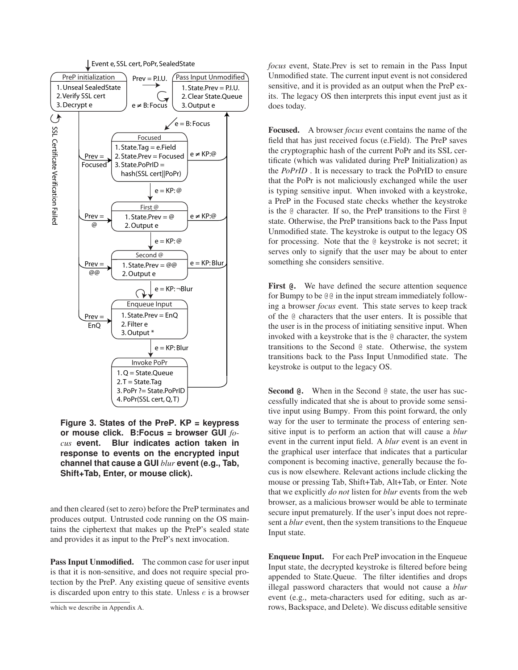

**Figure 3. States of the PreP. KP = keypress or mouse click. B:Focus = browser GUI** *focus* **event. Blur indicates action taken in response to events on the encrypted input channel that cause a GUI** *blur* **event (e.g., Tab, Shift+Tab, Enter, or mouse click).**

and then cleared (set to zero) before the PreP terminates and produces output. Untrusted code running on the OS maintains the ciphertext that makes up the PreP's sealed state and provides it as input to the PreP's next invocation.

**Pass Input Unmodified.** The common case for user input is that it is non-sensitive, and does not require special protection by the PreP. Any existing queue of sensitive events is discarded upon entry to this state. Unless  $e$  is a browser *focus* event, State.Prev is set to remain in the Pass Input Unmodified state. The current input event is not considered sensitive, and it is provided as an output when the PreP exits. The legacy OS then interprets this input event just as it does today.

**Focused.** A browser *focus* event contains the name of the field that has just received focus (e.Field). The PreP saves the cryptographic hash of the current PoPr and its SSL certificate (which was validated during PreP Initialization) as the *PoPrID* . It is necessary to track the PoPrID to ensure that the PoPr is not maliciously exchanged while the user is typing sensitive input. When invoked with a keystroke, a PreP in the Focused state checks whether the keystroke is the @ character. If so, the PreP transitions to the First @ state. Otherwise, the PreP transitions back to the Pass Input Unmodified state. The keystroke is output to the legacy OS for processing. Note that the @ keystroke is not secret; it serves only to signify that the user may be about to enter something she considers sensitive.

**First @.** We have defined the secure attention sequence for Bumpy to be @@ in the input stream immediately following a browser *focus* event. This state serves to keep track of the @ characters that the user enters. It is possible that the user is in the process of initiating sensitive input. When invoked with a keystroke that is the @ character, the system transitions to the Second @ state. Otherwise, the system transitions back to the Pass Input Unmodified state. The keystroke is output to the legacy OS.

**Second @.** When in the Second @ state, the user has successfully indicated that she is about to provide some sensitive input using Bumpy. From this point forward, the only way for the user to terminate the process of entering sensitive input is to perform an action that will cause a *blur* event in the current input field. A *blur* event is an event in the graphical user interface that indicates that a particular component is becoming inactive, generally because the focus is now elsewhere. Relevant actions include clicking the mouse or pressing Tab, Shift+Tab, Alt+Tab, or Enter. Note that we explicitly *do not* listen for *blur* events from the web browser, as a malicious browser would be able to terminate secure input prematurely. If the user's input does not represent a *blur* event, then the system transitions to the Enqueue Input state.

**Enqueue Input.** For each PreP invocation in the Enqueue Input state, the decrypted keystroke is filtered before being appended to State.Queue. The filter identifies and drops illegal password characters that would not cause a *blur* event (e.g., meta-characters used for editing, such as arrows, Backspace, and Delete). We discuss editable sensitive

which we describe in Appendix A.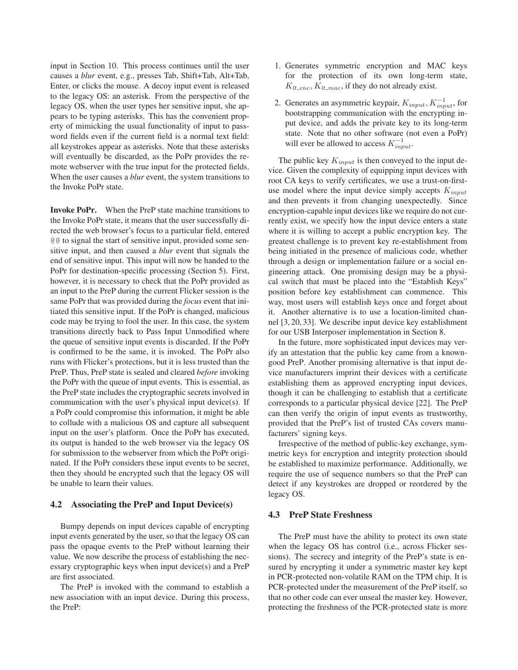input in Section 10. This process continues until the user causes a *blur* event, e.g., presses Tab, Shift+Tab, Alt+Tab, Enter, or clicks the mouse. A decoy input event is released to the legacy OS: an asterisk. From the perspective of the legacy OS, when the user types her sensitive input, she appears to be typing asterisks. This has the convenient property of mimicking the usual functionality of input to password fields even if the current field is a normal text field: all keystrokes appear as asterisks. Note that these asterisks will eventually be discarded, as the PoPr provides the remote webserver with the true input for the protected fields. When the user causes a *blur* event, the system transitions to the Invoke PoPr state.

**Invoke PoPr.** When the PreP state machine transitions to the Invoke PoPr state, it means that the user successfully directed the web browser's focus to a particular field, entered @@ to signal the start of sensitive input, provided some sensitive input, and then caused a *blur* event that signals the end of sensitive input. This input will now be handed to the PoPr for destination-specific processing (Section 5). First, however, it is necessary to check that the PoPr provided as an input to the PreP during the current Flicker session is the same PoPr that was provided during the *focus* event that initiated this sensitive input. If the PoPr is changed, malicious code may be trying to fool the user. In this case, the system transitions directly back to Pass Input Unmodified where the queue of sensitive input events is discarded. If the PoPr is confirmed to be the same, it is invoked. The PoPr also runs with Flicker's protections, but it is less trusted than the PreP. Thus, PreP state is sealed and cleared *before* invoking the PoPr with the queue of input events. This is essential, as the PreP state includes the cryptographic secrets involved in communication with the user's physical input device(s). If a PoPr could compromise this information, it might be able to collude with a malicious OS and capture all subsequent input on the user's platform. Once the PoPr has executed, its output is handed to the web browser via the legacy OS for submission to the webserver from which the PoPr originated. If the PoPr considers these input events to be secret, then they should be encrypted such that the legacy OS will be unable to learn their values.

### **4.2 Associating the PreP and Input Device(s)**

Bumpy depends on input devices capable of encrypting input events generated by the user, so that the legacy OS can pass the opaque events to the PreP without learning their value. We now describe the process of establishing the necessary cryptographic keys when input device(s) and a PreP are first associated.

The PreP is invoked with the command to establish a new association with an input device. During this process, the PreP:

- 1. Generates symmetric encryption and MAC keys for the protection of its own long-term state,  $K_{lt\_enc}, K_{lt\_mac}$ , if they do not already exist.
- 2. Generates an asymmetric keypair,  $K_{input}$ ,  $K_{input}^{-1}$ , for bootstrapping communication with the encrypting input device, and adds the private key to its long-term state. Note that no other software (not even a PoPr) will ever be allowed to access  $K_{input}^{-1}$ .

The public key  $K_{input}$  is then conveyed to the input device. Given the complexity of equipping input devices with root CA keys to verify certificates, we use a trust-on-firstuse model where the input device simply accepts  $K_{input}$ and then prevents it from changing unexpectedly. Since encryption-capable input devices like we require do not currently exist, we specify how the input device enters a state where it is willing to accept a public encryption key. The greatest challenge is to prevent key re-establishment from being initiated in the presence of malicious code, whether through a design or implementation failure or a social engineering attack. One promising design may be a physical switch that must be placed into the "Establish Keys" position before key establishment can commence. This way, most users will establish keys once and forget about it. Another alternative is to use a location-limited channel [3, 20, 33]. We describe input device key establishment for our USB Interposer implementation in Section 8.

In the future, more sophisticated input devices may verify an attestation that the public key came from a knowngood PreP. Another promising alternative is that input device manufacturers imprint their devices with a certificate establishing them as approved encrypting input devices, though it can be challenging to establish that a certificate corresponds to a particular physical device [22]. The PreP can then verify the origin of input events as trustworthy, provided that the PreP's list of trusted CAs covers manufacturers' signing keys.

Irrespective of the method of public-key exchange, symmetric keys for encryption and integrity protection should be established to maximize performance. Additionally, we require the use of sequence numbers so that the PreP can detect if any keystrokes are dropped or reordered by the legacy OS.

### **4.3 PreP State Freshness**

The PreP must have the ability to protect its own state when the legacy OS has control (i.e., across Flicker sessions). The secrecy and integrity of the PreP's state is ensured by encrypting it under a symmetric master key kept in PCR-protected non-volatile RAM on the TPM chip. It is PCR-protected under the measurement of the PreP itself, so that no other code can ever unseal the master key. However, protecting the freshness of the PCR-protected state is more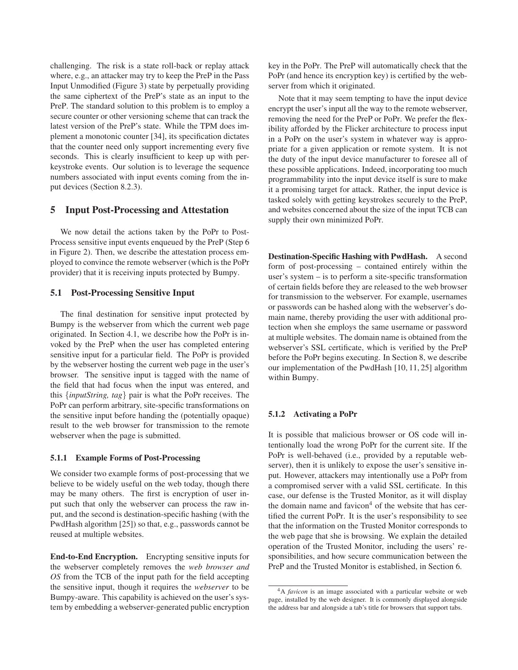challenging. The risk is a state roll-back or replay attack where, e.g., an attacker may try to keep the PreP in the Pass Input Unmodified (Figure 3) state by perpetually providing the same ciphertext of the PreP's state as an input to the PreP. The standard solution to this problem is to employ a secure counter or other versioning scheme that can track the latest version of the PreP's state. While the TPM does implement a monotonic counter [34], its specification dictates that the counter need only support incrementing every five seconds. This is clearly insufficient to keep up with perkeystroke events. Our solution is to leverage the sequence numbers associated with input events coming from the input devices (Section 8.2.3).

## **5 Input Post-Processing and Attestation**

We now detail the actions taken by the PoPr to Post-Process sensitive input events enqueued by the PreP (Step 6 in Figure 2). Then, we describe the attestation process employed to convince the remote webserver (which is the PoPr provider) that it is receiving inputs protected by Bumpy.

## **5.1 Post-Processing Sensitive Input**

The final destination for sensitive input protected by Bumpy is the webserver from which the current web page originated. In Section 4.1, we describe how the PoPr is invoked by the PreP when the user has completed entering sensitive input for a particular field. The PoPr is provided by the webserver hosting the current web page in the user's browser. The sensitive input is tagged with the name of the field that had focus when the input was entered, and this {*inputString, tag*} pair is what the PoPr receives. The PoPr can perform arbitrary, site-specific transformations on the sensitive input before handing the (potentially opaque) result to the web browser for transmission to the remote webserver when the page is submitted.

### **5.1.1 Example Forms of Post-Processing**

We consider two example forms of post-processing that we believe to be widely useful on the web today, though there may be many others. The first is encryption of user input such that only the webserver can process the raw input, and the second is destination-specific hashing (with the PwdHash algorithm [25]) so that, e.g., passwords cannot be reused at multiple websites.

**End-to-End Encryption.** Encrypting sensitive inputs for the webserver completely removes the *web browser and OS* from the TCB of the input path for the field accepting the sensitive input, though it requires the *webserver* to be Bumpy-aware. This capability is achieved on the user's system by embedding a webserver-generated public encryption key in the PoPr. The PreP will automatically check that the PoPr (and hence its encryption key) is certified by the webserver from which it originated.

Note that it may seem tempting to have the input device encrypt the user's input all the way to the remote webserver, removing the need for the PreP or PoPr. We prefer the flexibility afforded by the Flicker architecture to process input in a PoPr on the user's system in whatever way is appropriate for a given application or remote system. It is not the duty of the input device manufacturer to foresee all of these possible applications. Indeed, incorporating too much programmability into the input device itself is sure to make it a promising target for attack. Rather, the input device is tasked solely with getting keystrokes securely to the PreP, and websites concerned about the size of the input TCB can supply their own minimized PoPr.

**Destination-Specific Hashing with PwdHash.** A second form of post-processing – contained entirely within the user's system – is to perform a site-specific transformation of certain fields before they are released to the web browser for transmission to the webserver. For example, usernames or passwords can be hashed along with the webserver's domain name, thereby providing the user with additional protection when she employs the same username or password at multiple websites. The domain name is obtained from the webserver's SSL certificate, which is verified by the PreP before the PoPr begins executing. In Section 8, we describe our implementation of the PwdHash [10, 11, 25] algorithm within Bumpy.

#### **5.1.2 Activating a PoPr**

It is possible that malicious browser or OS code will intentionally load the wrong PoPr for the current site. If the PoPr is well-behaved (i.e., provided by a reputable webserver), then it is unlikely to expose the user's sensitive input. However, attackers may intentionally use a PoPr from a compromised server with a valid SSL certificate. In this case, our defense is the Trusted Monitor, as it will display the domain name and favicon $4$  of the website that has certified the current PoPr. It is the user's responsibility to see that the information on the Trusted Monitor corresponds to the web page that she is browsing. We explain the detailed operation of the Trusted Monitor, including the users' responsibilities, and how secure communication between the PreP and the Trusted Monitor is established, in Section 6.

<sup>4</sup>A *favicon* is an image associated with a particular website or web page, installed by the web designer. It is commonly displayed alongside the address bar and alongside a tab's title for browsers that support tabs.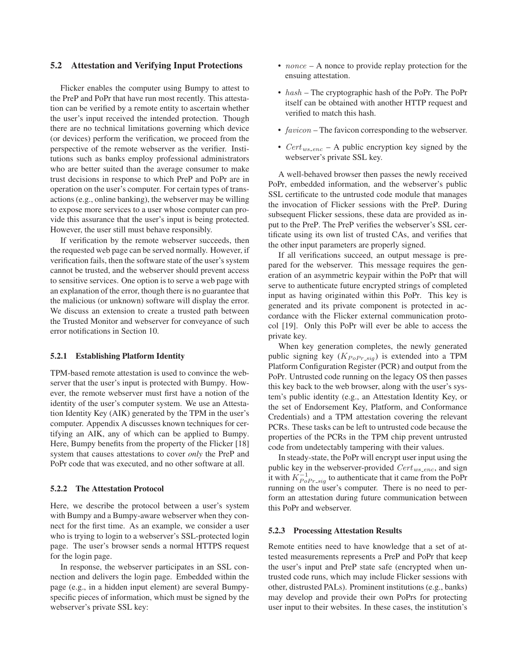### **5.2 Attestation and Verifying Input Protections**

Flicker enables the computer using Bumpy to attest to the PreP and PoPr that have run most recently. This attestation can be verified by a remote entity to ascertain whether the user's input received the intended protection. Though there are no technical limitations governing which device (or devices) perform the verification, we proceed from the perspective of the remote webserver as the verifier. Institutions such as banks employ professional administrators who are better suited than the average consumer to make trust decisions in response to which PreP and PoPr are in operation on the user's computer. For certain types of transactions (e.g., online banking), the webserver may be willing to expose more services to a user whose computer can provide this assurance that the user's input is being protected. However, the user still must behave responsibly.

If verification by the remote webserver succeeds, then the requested web page can be served normally. However, if verification fails, then the software state of the user's system cannot be trusted, and the webserver should prevent access to sensitive services. One option is to serve a web page with an explanation of the error, though there is no guarantee that the malicious (or unknown) software will display the error. We discuss an extension to create a trusted path between the Trusted Monitor and webserver for conveyance of such error notifications in Section 10.

#### **5.2.1 Establishing Platform Identity**

TPM-based remote attestation is used to convince the webserver that the user's input is protected with Bumpy. However, the remote webserver must first have a notion of the identity of the user's computer system. We use an Attestation Identity Key (AIK) generated by the TPM in the user's computer. Appendix A discusses known techniques for certifying an AIK, any of which can be applied to Bumpy. Here, Bumpy benefits from the property of the Flicker [18] system that causes attestations to cover *only* the PreP and PoPr code that was executed, and no other software at all.

#### **5.2.2 The Attestation Protocol**

Here, we describe the protocol between a user's system with Bumpy and a Bumpy-aware webserver when they connect for the first time. As an example, we consider a user who is trying to login to a webserver's SSL-protected login page. The user's browser sends a normal HTTPS request for the login page.

In response, the webserver participates in an SSL connection and delivers the login page. Embedded within the page (e.g., in a hidden input element) are several Bumpyspecific pieces of information, which must be signed by the webserver's private SSL key:

- *nonce*  $A$  nonce to provide replay protection for the ensuing attestation.
- $hash$  The cryptographic hash of the PoPr. The PoPr itself can be obtained with another HTTP request and verified to match this hash.
- $favicon$  The favicon corresponding to the webserver.
- $Cert_{ws\_enc} A$  public encryption key signed by the webserver's private SSL key.

A well-behaved browser then passes the newly received PoPr, embedded information, and the webserver's public SSL certificate to the untrusted code module that manages the invocation of Flicker sessions with the PreP. During subsequent Flicker sessions, these data are provided as input to the PreP. The PreP verifies the webserver's SSL certificate using its own list of trusted CAs, and verifies that the other input parameters are properly signed.

If all verifications succeed, an output message is prepared for the webserver. This message requires the generation of an asymmetric keypair within the PoPr that will serve to authenticate future encrypted strings of completed input as having originated within this PoPr. This key is generated and its private component is protected in accordance with the Flicker external communication protocol [19]. Only this PoPr will ever be able to access the private key.

When key generation completes, the newly generated public signing key  $(K_{PoPr\_sig})$  is extended into a TPM Platform Configuration Register (PCR) and output from the PoPr. Untrusted code running on the legacy OS then passes this key back to the web browser, along with the user's system's public identity (e.g., an Attestation Identity Key, or the set of Endorsement Key, Platform, and Conformance Credentials) and a TPM attestation covering the relevant PCRs. These tasks can be left to untrusted code because the properties of the PCRs in the TPM chip prevent untrusted code from undetectably tampering with their values.

In steady-state, the PoPr will encrypt user input using the public key in the webserver-provided  $Cert_{ws\text{-}enc}$ , and sign it with  $K_{PoPr\_sig}^{-1}$  to authenticate that it came from the PoPr running on the user's computer. There is no need to perform an attestation during future communication between this PoPr and webserver.

#### **5.2.3 Processing Attestation Results**

Remote entities need to have knowledge that a set of attested measurements represents a PreP and PoPr that keep the user's input and PreP state safe (encrypted when untrusted code runs, which may include Flicker sessions with other, distrusted PALs). Prominent institutions (e.g., banks) may develop and provide their own PoPrs for protecting user input to their websites. In these cases, the institution's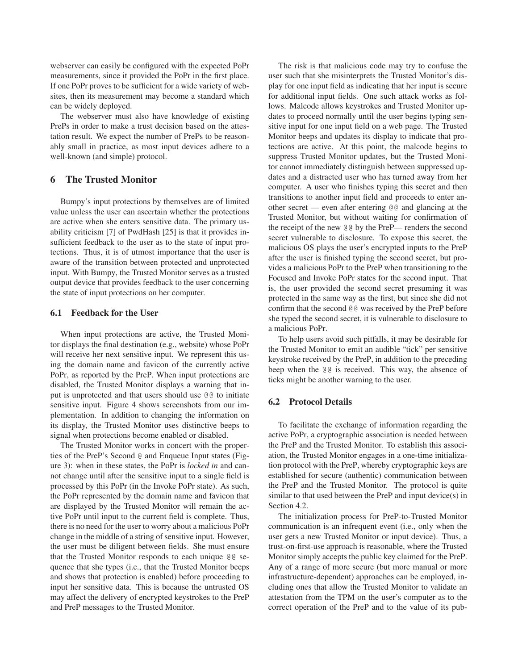webserver can easily be configured with the expected PoPr measurements, since it provided the PoPr in the first place. If one PoPr proves to be sufficient for a wide variety of websites, then its measurement may become a standard which can be widely deployed.

The webserver must also have knowledge of existing PrePs in order to make a trust decision based on the attestation result. We expect the number of PrePs to be reasonably small in practice, as most input devices adhere to a well-known (and simple) protocol.

## **6 The Trusted Monitor**

Bumpy's input protections by themselves are of limited value unless the user can ascertain whether the protections are active when she enters sensitive data. The primary usability criticism [7] of PwdHash [25] is that it provides insufficient feedback to the user as to the state of input protections. Thus, it is of utmost importance that the user is aware of the transition between protected and unprotected input. With Bumpy, the Trusted Monitor serves as a trusted output device that provides feedback to the user concerning the state of input protections on her computer.

### **6.1 Feedback for the User**

When input protections are active, the Trusted Monitor displays the final destination (e.g., website) whose PoPr will receive her next sensitive input. We represent this using the domain name and favicon of the currently active PoPr, as reported by the PreP. When input protections are disabled, the Trusted Monitor displays a warning that input is unprotected and that users should use @@ to initiate sensitive input. Figure 4 shows screenshots from our implementation. In addition to changing the information on its display, the Trusted Monitor uses distinctive beeps to signal when protections become enabled or disabled.

The Trusted Monitor works in concert with the properties of the PreP's Second @ and Enqueue Input states (Figure 3): when in these states, the PoPr is *locked in* and cannot change until after the sensitive input to a single field is processed by this PoPr (in the Invoke PoPr state). As such, the PoPr represented by the domain name and favicon that are displayed by the Trusted Monitor will remain the active PoPr until input to the current field is complete. Thus, there is no need for the user to worry about a malicious PoPr change in the middle of a string of sensitive input. However, the user must be diligent between fields. She must ensure that the Trusted Monitor responds to each unique @@ sequence that she types (i.e., that the Trusted Monitor beeps and shows that protection is enabled) before proceeding to input her sensitive data. This is because the untrusted OS may affect the delivery of encrypted keystrokes to the PreP and PreP messages to the Trusted Monitor.

The risk is that malicious code may try to confuse the user such that she misinterprets the Trusted Monitor's display for one input field as indicating that her input is secure for additional input fields. One such attack works as follows. Malcode allows keystrokes and Trusted Monitor updates to proceed normally until the user begins typing sensitive input for one input field on a web page. The Trusted Monitor beeps and updates its display to indicate that protections are active. At this point, the malcode begins to suppress Trusted Monitor updates, but the Trusted Monitor cannot immediately distinguish between suppressed updates and a distracted user who has turned away from her computer. A user who finishes typing this secret and then transitions to another input field and proceeds to enter another secret — even after entering @@ and glancing at the Trusted Monitor, but without waiting for confirmation of the receipt of the new @@ by the PreP— renders the second secret vulnerable to disclosure. To expose this secret, the malicious OS plays the user's encrypted inputs to the PreP after the user is finished typing the second secret, but provides a malicious PoPr to the PreP when transitioning to the Focused and Invoke PoPr states for the second input. That is, the user provided the second secret presuming it was protected in the same way as the first, but since she did not confirm that the second @@ was received by the PreP before she typed the second secret, it is vulnerable to disclosure to a malicious PoPr.

To help users avoid such pitfalls, it may be desirable for the Trusted Monitor to emit an audible "tick" per sensitive keystroke received by the PreP, in addition to the preceding beep when the @@ is received. This way, the absence of ticks might be another warning to the user.

### **6.2 Protocol Details**

To facilitate the exchange of information regarding the active PoPr, a cryptographic association is needed between the PreP and the Trusted Monitor. To establish this association, the Trusted Monitor engages in a one-time initialization protocol with the PreP, whereby cryptographic keys are established for secure (authentic) communication between the PreP and the Trusted Monitor. The protocol is quite similar to that used between the PreP and input device(s) in Section 4.2.

The initialization process for PreP-to-Trusted Monitor communication is an infrequent event (i.e., only when the user gets a new Trusted Monitor or input device). Thus, a trust-on-first-use approach is reasonable, where the Trusted Monitor simply accepts the public key claimed for the PreP. Any of a range of more secure (but more manual or more infrastructure-dependent) approaches can be employed, including ones that allow the Trusted Monitor to validate an attestation from the TPM on the user's computer as to the correct operation of the PreP and to the value of its pub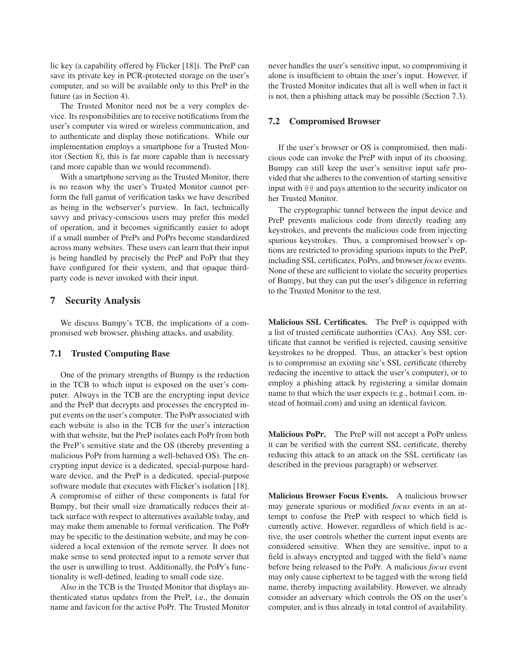lic key (a capability offered by Flicker [18]). The PreP can save its private key in PCR-protected storage on the user's computer, and so will be available only to this PreP in the future (as in Section 4).

The Trusted Monitor need not be a very complex device. Its responsibilities are to receive notifications from the user's computer via wired or wireless communication, and to authenticate and display those notifications. While our implementation employs a smartphone for a Trusted Monitor (Section 8), this is far more capable than is necessary (and more capable than we would recommend).

With a smartphone serving as the Trusted Monitor, there is no reason why the user's Trusted Monitor cannot perform the full gamut of verification tasks we have described as being in the webserver's purview. In fact, technically savvy and privacy-conscious users may prefer this model of operation, and it becomes significantly easier to adopt if a small number of PrePs and PoPrs become standardized across many websites. These users can learn that their input is being handled by precisely the PreP and PoPr that they have configured for their system, and that opaque thirdparty code is never invoked with their input.

## **7 Security Analysis**

We discuss Bumpy's TCB, the implications of a compromised web browser, phishing attacks, and usability.

## **7.1 Trusted Computing Base**

One of the primary strengths of Bumpy is the reduction in the TCB to which input is exposed on the user's computer. Always in the TCB are the encrypting input device and the PreP that decrypts and processes the encrypted input events on the user's computer. The PoPr associated with each website is also in the TCB for the user's interaction with that website, but the PreP isolates each PoPr from both the PreP's sensitive state and the OS (thereby preventing a malicious PoPr from harming a well-behaved OS). The encrypting input device is a dedicated, special-purpose hardware device, and the PreP is a dedicated, special-purpose software module that executes with Flicker's isolation [18]. A compromise of either of these components is fatal for Bumpy, but their small size dramatically reduces their attack surface with respect to alternatives available today, and may make them amenable to formal verification. The PoPr may be specific to the destination website, and may be considered a local extension of the remote server. It does not make sense to send protected input to a remote server that the user is unwilling to trust. Additionally, the PoPr's functionality is well-defined, leading to small code size.

Also in the TCB is the Trusted Monitor that displays authenticated status updates from the PreP, i.e., the domain name and favicon for the active PoPr. The Trusted Monitor

never handles the user's sensitive input, so compromising it alone is insufficient to obtain the user's input. However, if the Trusted Monitor indicates that all is well when in fact it is not, then a phishing attack may be possible (Section 7.3).

## **7.2 Compromised Browser**

If the user's browser or OS is compromised, then malicious code can invoke the PreP with input of its choosing. Bumpy can still keep the user's sensitive input safe provided that she adheres to the convention of starting sensitive input with @@ and pays attention to the security indicator on her Trusted Monitor.

The cryptographic tunnel between the input device and PreP prevents malicious code from directly reading any keystrokes, and prevents the malicious code from injecting spurious keystrokes. Thus, a compromised browser's options are restricted to providing spurious inputs to the PreP, including SSL certificates, PoPrs, and browser *focus* events. None of these are sufficient to violate the security properties of Bumpy, but they can put the user's diligence in referring to the Trusted Monitor to the test.

**Malicious SSL Certificates.** The PreP is equipped with a list of trusted certificate authorities (CAs). Any SSL certificate that cannot be verified is rejected, causing sensitive keystrokes to be dropped. Thus, an attacker's best option is to compromise an existing site's SSL certificate (thereby reducing the incentive to attack the user's computer), or to employ a phishing attack by registering a similar domain name to that which the user expects (e.g., hotmai1.com, instead of hotmail.com) and using an identical favicon.

**Malicious PoPr.** The PreP will not accept a PoPr unless it can be verified with the current SSL certificate, thereby reducing this attack to an attack on the SSL certificate (as described in the previous paragraph) or webserver.

**Malicious Browser Focus Events.** A malicious browser may generate spurious or modified *focus* events in an attempt to confuse the PreP with respect to which field is currently active. However, regardless of which field is active, the user controls whether the current input events are considered sensitive. When they are sensitive, input to a field is always encrypted and tagged with the field's name before being released to the PoPr. A malicious *focus* event may only cause ciphertext to be tagged with the wrong field name, thereby impacting availability. However, we already consider an adversary which controls the OS on the user's computer, and is thus already in total control of availability.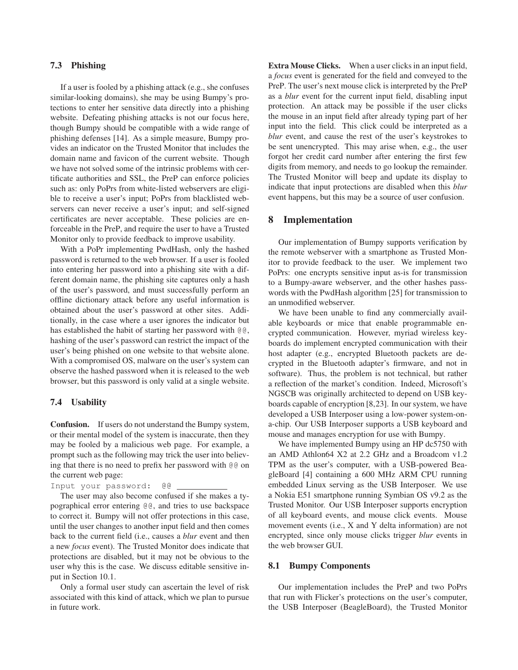## **7.3 Phishing**

If a user is fooled by a phishing attack (e.g., she confuses similar-looking domains), she may be using Bumpy's protections to enter her sensitive data directly into a phishing website. Defeating phishing attacks is not our focus here, though Bumpy should be compatible with a wide range of phishing defenses [14]. As a simple measure, Bumpy provides an indicator on the Trusted Monitor that includes the domain name and favicon of the current website. Though we have not solved some of the intrinsic problems with certificate authorities and SSL, the PreP can enforce policies such as: only PoPrs from white-listed webservers are eligible to receive a user's input; PoPrs from blacklisted webservers can never receive a user's input; and self-signed certificates are never acceptable. These policies are enforceable in the PreP, and require the user to have a Trusted Monitor only to provide feedback to improve usability.

With a PoPr implementing PwdHash, only the hashed password is returned to the web browser. If a user is fooled into entering her password into a phishing site with a different domain name, the phishing site captures only a hash of the user's password, and must successfully perform an offline dictionary attack before any useful information is obtained about the user's password at other sites. Additionally, in the case where a user ignores the indicator but has established the habit of starting her password with @@, hashing of the user's password can restrict the impact of the user's being phished on one website to that website alone. With a compromised OS, malware on the user's system can observe the hashed password when it is released to the web browser, but this password is only valid at a single website.

#### **7.4 Usability**

**Confusion.** If users do not understand the Bumpy system, or their mental model of the system is inaccurate, then they may be fooled by a malicious web page. For example, a prompt such as the following may trick the user into believing that there is no need to prefix her password with @@ on the current web page:

Input your password: @@

The user may also become confused if she makes a typographical error entering @@, and tries to use backspace to correct it. Bumpy will not offer protections in this case, until the user changes to another input field and then comes back to the current field (i.e., causes a *blur* event and then a new *focus* event). The Trusted Monitor does indicate that protections are disabled, but it may not be obvious to the user why this is the case. We discuss editable sensitive input in Section 10.1.

Only a formal user study can ascertain the level of risk associated with this kind of attack, which we plan to pursue in future work.

**Extra Mouse Clicks.** When a user clicks in an input field, a *focus* event is generated for the field and conveyed to the PreP. The user's next mouse click is interpreted by the PreP as a *blur* event for the current input field, disabling input protection. An attack may be possible if the user clicks the mouse in an input field after already typing part of her input into the field. This click could be interpreted as a *blur* event, and cause the rest of the user's keystrokes to be sent unencrypted. This may arise when, e.g., the user forgot her credit card number after entering the first few digits from memory, and needs to go lookup the remainder. The Trusted Monitor will beep and update its display to indicate that input protections are disabled when this *blur* event happens, but this may be a source of user confusion.

### **8 Implementation**

Our implementation of Bumpy supports verification by the remote webserver with a smartphone as Trusted Monitor to provide feedback to the user. We implement two PoPrs: one encrypts sensitive input as-is for transmission to a Bumpy-aware webserver, and the other hashes passwords with the PwdHash algorithm [25] for transmission to an unmodified webserver.

We have been unable to find any commercially available keyboards or mice that enable programmable encrypted communication. However, myriad wireless keyboards do implement encrypted communication with their host adapter (e.g., encrypted Bluetooth packets are decrypted in the Bluetooth adapter's firmware, and not in software). Thus, the problem is not technical, but rather a reflection of the market's condition. Indeed, Microsoft's NGSCB was originally architected to depend on USB keyboards capable of encryption [8,23]. In our system, we have developed a USB Interposer using a low-power system-ona-chip. Our USB Interposer supports a USB keyboard and mouse and manages encryption for use with Bumpy.

We have implemented Bumpy using an HP dc5750 with an AMD Athlon64 X2 at 2.2 GHz and a Broadcom v1.2 TPM as the user's computer, with a USB-powered BeagleBoard [4] containing a 600 MHz ARM CPU running embedded Linux serving as the USB Interposer. We use a Nokia E51 smartphone running Symbian OS v9.2 as the Trusted Monitor. Our USB Interposer supports encryption of all keyboard events, and mouse click events. Mouse movement events (i.e., X and Y delta information) are not encrypted, since only mouse clicks trigger *blur* events in the web browser GUI.

#### **8.1 Bumpy Components**

Our implementation includes the PreP and two PoPrs that run with Flicker's protections on the user's computer, the USB Interposer (BeagleBoard), the Trusted Monitor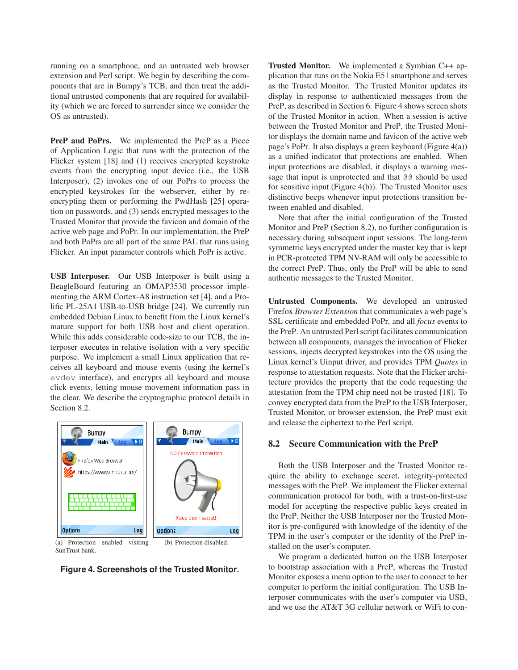running on a smartphone, and an untrusted web browser extension and Perl script. We begin by describing the components that are in Bumpy's TCB, and then treat the additional untrusted components that are required for availability (which we are forced to surrender since we consider the OS as untrusted).

**PreP and PoPrs.** We implemented the PreP as a Piece of Application Logic that runs with the protection of the Flicker system [18] and (1) receives encrypted keystroke events from the encrypting input device (i.e., the USB Interposer), (2) invokes one of our PoPrs to process the encrypted keystrokes for the webserver, either by reencrypting them or performing the PwdHash [25] operation on passwords, and (3) sends encrypted messages to the Trusted Monitor that provide the favicon and domain of the active web page and PoPr. In our implementation, the PreP and both PoPrs are all part of the same PAL that runs using Flicker. An input parameter controls which PoPr is active.

**USB Interposer.** Our USB Interposer is built using a BeagleBoard featuring an OMAP3530 processor implementing the ARM Cortex-A8 instruction set [4], and a Prolific PL-25A1 USB-to-USB bridge [24]. We currently run embedded Debian Linux to benefit from the Linux kernel's mature support for both USB host and client operation. While this adds considerable code-size to our TCB, the interposer executes in relative isolation with a very specific purpose. We implement a small Linux application that receives all keyboard and mouse events (using the kernel's evdev interface), and encrypts all keyboard and mouse click events, letting mouse movement information pass in the clear. We describe the cryptographic protocol details in Section 8.2.



SunTrust bank.

**Figure 4. Screenshots of the Trusted Monitor.**

**Trusted Monitor.** We implemented a Symbian C++ application that runs on the Nokia E51 smartphone and serves as the Trusted Monitor. The Trusted Monitor updates its display in response to authenticated messages from the PreP, as described in Section 6. Figure 4 shows screen shots of the Trusted Monitor in action. When a session is active between the Trusted Monitor and PreP, the Trusted Monitor displays the domain name and favicon of the active web page's PoPr. It also displays a green keyboard (Figure 4(a)) as a unified indicator that protections are enabled. When input protections are disabled, it displays a warning message that input is unprotected and that @@ should be used for sensitive input (Figure 4(b)). The Trusted Monitor uses distinctive beeps whenever input protections transition between enabled and disabled.

Note that after the initial configuration of the Trusted Monitor and PreP (Section 8.2), no further configuration is necessary during subsequent input sessions. The long-term symmetric keys encrypted under the master key that is kept in PCR-protected TPM NV-RAM will only be accessible to the correct PreP. Thus, only the PreP will be able to send authentic messages to the Trusted Monitor.

**Untrusted Components.** We developed an untrusted Firefox *Browser Extension* that communicates a web page's SSL certificate and embedded PoPr, and all *focus* events to the PreP. An untrusted Perl script facilitates communication between all components, manages the invocation of Flicker sessions, injects decrypted keystrokes into the OS using the Linux kernel's Uinput driver, and provides TPM *Quotes* in response to attestation requests. Note that the Flicker architecture provides the property that the code requesting the attestation from the TPM chip need not be trusted [18]. To convey encrypted data from the PreP to the USB Interposer, Trusted Monitor, or browser extension, the PreP must exit and release the ciphertext to the Perl script.

### **8.2 Secure Communication with the PreP**

Both the USB Interposer and the Trusted Monitor require the ability to exchange secret, integrity-protected messages with the PreP. We implement the Flicker external communication protocol for both, with a trust-on-first-use model for accepting the respective public keys created in the PreP. Neither the USB Interposer nor the Trusted Monitor is pre-configured with knowledge of the identity of the TPM in the user's computer or the identity of the PreP installed on the user's computer.

We program a dedicated button on the USB Interposer to bootstrap association with a PreP, whereas the Trusted Monitor exposes a menu option to the user to connect to her computer to perform the initial configuration. The USB Interposer communicates with the user's computer via USB, and we use the AT&T 3G cellular network or WiFi to con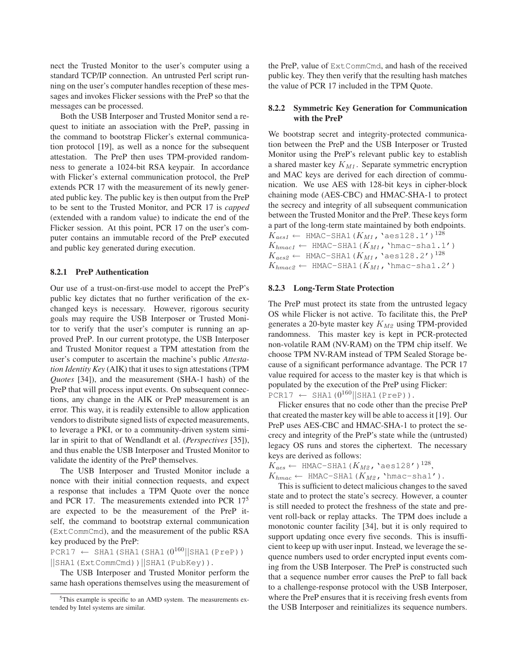nect the Trusted Monitor to the user's computer using a standard TCP/IP connection. An untrusted Perl script running on the user's computer handles reception of these messages and invokes Flicker sessions with the PreP so that the messages can be processed.

Both the USB Interposer and Trusted Monitor send a request to initiate an association with the PreP, passing in the command to bootstrap Flicker's external communication protocol [19], as well as a nonce for the subsequent attestation. The PreP then uses TPM-provided randomness to generate a 1024-bit RSA keypair. In accordance with Flicker's external communication protocol, the PreP extends PCR 17 with the measurement of its newly generated public key. The public key is then output from the PreP to be sent to the Trusted Monitor, and PCR 17 is *capped* (extended with a random value) to indicate the end of the Flicker session. At this point, PCR 17 on the user's computer contains an immutable record of the PreP executed and public key generated during execution.

#### **8.2.1 PreP Authentication**

Our use of a trust-on-first-use model to accept the PreP's public key dictates that no further verification of the exchanged keys is necessary. However, rigorous security goals may require the USB Interposer or Trusted Monitor to verify that the user's computer is running an approved PreP. In our current prototype, the USB Interposer and Trusted Monitor request a TPM attestation from the user's computer to ascertain the machine's public *Attestation Identity Key* (AIK) that it uses to sign attestations (TPM *Quotes* [34]), and the measurement (SHA-1 hash) of the PreP that will process input events. On subsequent connections, any change in the AIK or PreP measurement is an error. This way, it is readily extensible to allow application vendors to distribute signed lists of expected measurements, to leverage a PKI, or to a community-driven system similar in spirit to that of Wendlandt et al. (*Perspectives* [35]), and thus enable the USB Interposer and Trusted Monitor to validate the identity of the PreP themselves.

The USB Interposer and Trusted Monitor include a nonce with their initial connection requests, and expect a response that includes a TPM Quote over the nonce and PCR 17. The measurements extended into PCR 17<sup>5</sup> are expected to be the measurement of the PreP itself, the command to bootstrap external communication (ExtCommCmd), and the measurement of the public RSA key produced by the PreP:

 $PCR17 \leftarrow$  SHA1(SHA1(SHA1(0<sup>160</sup>||SHA1(PreP)) ||SHA1(ExtCommCmd))||SHA1(PubKey)).

The USB Interposer and Trusted Monitor perform the same hash operations themselves using the measurement of the PreP, value of ExtCommCmd, and hash of the received public key. They then verify that the resulting hash matches the value of PCR 17 included in the TPM Quote.

#### **8.2.2 Symmetric Key Generation for Communication with the PreP**

We bootstrap secret and integrity-protected communication between the PreP and the USB Interposer or Trusted Monitor using the PreP's relevant public key to establish a shared master key  $K_{M1}$ . Separate symmetric encryption and MAC keys are derived for each direction of communication. We use AES with 128-bit keys in cipher-block chaining mode (AES-CBC) and HMAC-SHA-1 to protect the secrecy and integrity of all subsequent communication between the Trusted Monitor and the PreP. These keys form a part of the long-term state maintained by both endpoints.  $K_{aes1} \leftarrow$  HMAC-SHA1( $K_{M1}$ , 'aes128.1')<sup>128</sup>  $K_{hmac1} \leftarrow$  HMAC-SHA1( $K_{M1}$ , 'hmac-sha1.1')  $K_{aes2} \leftarrow$  HMAC-SHA1( $K_{M1}$ , 'aes128.2')<sup>128</sup>  $K_{hmac2} \leftarrow$  HMAC-SHA1( $K_{M1}$ , 'hmac-sha1.2')

### **8.2.3 Long-Term State Protection**

The PreP must protect its state from the untrusted legacy OS while Flicker is not active. To facilitate this, the PreP generates a 20-byte master key  $K_{M2}$  using TPM-provided randomness. This master key is kept in PCR-protected non-volatile RAM (NV-RAM) on the TPM chip itself. We choose TPM NV-RAM instead of TPM Sealed Storage because of a significant performance advantage. The PCR 17 value required for access to the master key is that which is populated by the execution of the PreP using Flicker:  $PCR17 \leftarrow$  SHA1( $0^{160}$ ||SHA1(PreP)).

Flicker ensures that no code other than the precise PreP that created the master key will be able to access it [19]. Our PreP uses AES-CBC and HMAC-SHA-1 to protect the secrecy and integrity of the PreP's state while the (untrusted) legacy OS runs and stores the ciphertext. The necessary keys are derived as follows:

 $K_{aes} \leftarrow \texttt{HMAC-SHA1}\left(K_{M2}\right.\text{ }^\text{'}\texttt{aes128'}\left.\right)^{128},$  $K_{hmac} \leftarrow \text{HMAC-SHA1}(K_{M2}, \text{'hmac-shal'}).$ 

This is sufficient to detect malicious changes to the saved state and to protect the state's secrecy. However, a counter is still needed to protect the freshness of the state and prevent roll-back or replay attacks. The TPM does include a monotonic counter facility [34], but it is only required to support updating once every five seconds. This is insufficient to keep up with user input. Instead, we leverage the sequence numbers used to order encrypted input events coming from the USB Interposer. The PreP is constructed such that a sequence number error causes the PreP to fall back to a challenge-response protocol with the USB Interposer, where the PreP ensures that it is receiving fresh events from the USB Interposer and reinitializes its sequence numbers.

<sup>5</sup>This example is specific to an AMD system. The measurements extended by Intel systems are similar.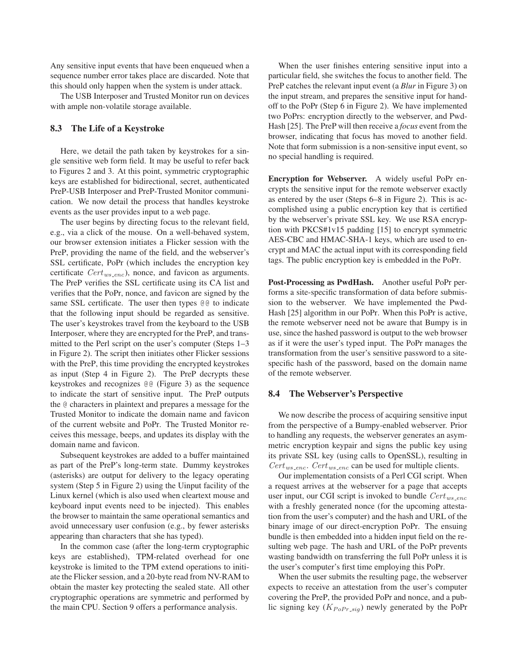Any sensitive input events that have been enqueued when a sequence number error takes place are discarded. Note that this should only happen when the system is under attack.

The USB Interposer and Trusted Monitor run on devices with ample non-volatile storage available.

#### **8.3 The Life of a Keystroke**

Here, we detail the path taken by keystrokes for a single sensitive web form field. It may be useful to refer back to Figures 2 and 3. At this point, symmetric cryptographic keys are established for bidirectional, secret, authenticated PreP-USB Interposer and PreP-Trusted Monitor communication. We now detail the process that handles keystroke events as the user provides input to a web page.

The user begins by directing focus to the relevant field, e.g., via a click of the mouse. On a well-behaved system, our browser extension initiates a Flicker session with the PreP, providing the name of the field, and the webserver's SSL certificate, PoPr (which includes the encryption key certificate  $Cert_{ws\_enc}$ , nonce, and favicon as arguments. The PreP verifies the SSL certificate using its CA list and verifies that the PoPr, nonce, and favicon are signed by the same SSL certificate. The user then types  $@@$  to indicate that the following input should be regarded as sensitive. The user's keystrokes travel from the keyboard to the USB Interposer, where they are encrypted for the PreP, and transmitted to the Perl script on the user's computer (Steps 1–3 in Figure 2). The script then initiates other Flicker sessions with the PreP, this time providing the encrypted keystrokes as input (Step 4 in Figure 2). The PreP decrypts these keystrokes and recognizes @@ (Figure 3) as the sequence to indicate the start of sensitive input. The PreP outputs the @ characters in plaintext and prepares a message for the Trusted Monitor to indicate the domain name and favicon of the current website and PoPr. The Trusted Monitor receives this message, beeps, and updates its display with the domain name and favicon.

Subsequent keystrokes are added to a buffer maintained as part of the PreP's long-term state. Dummy keystrokes (asterisks) are output for delivery to the legacy operating system (Step 5 in Figure 2) using the Uinput facility of the Linux kernel (which is also used when cleartext mouse and keyboard input events need to be injected). This enables the browser to maintain the same operational semantics and avoid unnecessary user confusion (e.g., by fewer asterisks appearing than characters that she has typed).

In the common case (after the long-term cryptographic keys are established), TPM-related overhead for one keystroke is limited to the TPM extend operations to initiate the Flicker session, and a 20-byte read from NV-RAM to obtain the master key protecting the sealed state. All other cryptographic operations are symmetric and performed by the main CPU. Section 9 offers a performance analysis.

When the user finishes entering sensitive input into a particular field, she switches the focus to another field. The PreP catches the relevant input event (a *Blur* in Figure 3) on the input stream, and prepares the sensitive input for handoff to the PoPr (Step 6 in Figure 2). We have implemented two PoPrs: encryption directly to the webserver, and Pwd-Hash [25]. The PreP will then receive a *focus* event from the browser, indicating that focus has moved to another field. Note that form submission is a non-sensitive input event, so no special handling is required.

**Encryption for Webserver.** A widely useful PoPr encrypts the sensitive input for the remote webserver exactly as entered by the user (Steps 6–8 in Figure 2). This is accomplished using a public encryption key that is certified by the webserver's private SSL key. We use RSA encryption with PKCS#1v15 padding [15] to encrypt symmetric AES-CBC and HMAC-SHA-1 keys, which are used to encrypt and MAC the actual input with its corresponding field tags. The public encryption key is embedded in the PoPr.

**Post-Processing as PwdHash.** Another useful PoPr performs a site-specific transformation of data before submission to the webserver. We have implemented the Pwd-Hash [25] algorithm in our PoPr. When this PoPr is active, the remote webserver need not be aware that Bumpy is in use, since the hashed password is output to the web browser as if it were the user's typed input. The PoPr manages the transformation from the user's sensitive password to a sitespecific hash of the password, based on the domain name of the remote webserver.

#### **8.4 The Webserver's Perspective**

We now describe the process of acquiring sensitive input from the perspective of a Bumpy-enabled webserver. Prior to handling any requests, the webserver generates an asymmetric encryption keypair and signs the public key using its private SSL key (using calls to OpenSSL), resulting in  $Cert_{ws. enc.}$  Cert<sub>ws-enc</sub> can be used for multiple clients.

Our implementation consists of a Perl CGI script. When a request arrives at the webserver for a page that accepts user input, our CGI script is invoked to bundle  $Cert_{ws\_enc}$ with a freshly generated nonce (for the upcoming attestation from the user's computer) and the hash and URL of the binary image of our direct-encryption PoPr. The ensuing bundle is then embedded into a hidden input field on the resulting web page. The hash and URL of the PoPr prevents wasting bandwidth on transferring the full PoPr unless it is the user's computer's first time employing this PoPr.

When the user submits the resulting page, the webserver expects to receive an attestation from the user's computer covering the PreP, the provided PoPr and nonce, and a public signing key  $(K_{PoPr\_sig})$  newly generated by the PoPr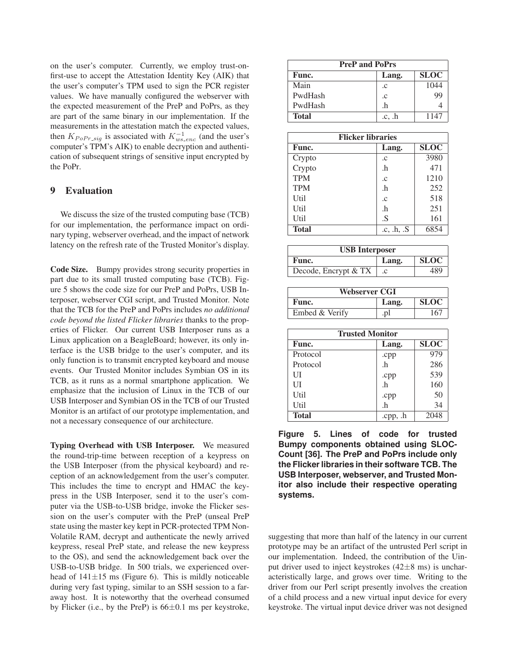on the user's computer. Currently, we employ trust-onfirst-use to accept the Attestation Identity Key (AIK) that the user's computer's TPM used to sign the PCR register values. We have manually configured the webserver with the expected measurement of the PreP and PoPrs, as they are part of the same binary in our implementation. If the measurements in the attestation match the expected values, then  $K_{PoPr\_sig}$  is associated with  $K_{ws\_enc}^{-1}$  (and the user's computer's TPM's AIK) to enable decryption and authentication of subsequent strings of sensitive input encrypted by the PoPr.

# **9 Evaluation**

We discuss the size of the trusted computing base (TCB) for our implementation, the performance impact on ordinary typing, webserver overhead, and the impact of network latency on the refresh rate of the Trusted Monitor's display.

**Code Size.** Bumpy provides strong security properties in part due to its small trusted computing base (TCB). Figure 5 shows the code size for our PreP and PoPrs, USB Interposer, webserver CGI script, and Trusted Monitor. Note that the TCB for the PreP and PoPrs includes *no additional code beyond the listed Flicker libraries* thanks to the properties of Flicker. Our current USB Interposer runs as a Linux application on a BeagleBoard; however, its only interface is the USB bridge to the user's computer, and its only function is to transmit encrypted keyboard and mouse events. Our Trusted Monitor includes Symbian OS in its TCB, as it runs as a normal smartphone application. We emphasize that the inclusion of Linux in the TCB of our USB Interposer and Symbian OS in the TCB of our Trusted Monitor is an artifact of our prototype implementation, and not a necessary consequence of our architecture.

**Typing Overhead with USB Interposer.** We measured the round-trip-time between reception of a keypress on the USB Interposer (from the physical keyboard) and reception of an acknowledgement from the user's computer. This includes the time to encrypt and HMAC the keypress in the USB Interposer, send it to the user's computer via the USB-to-USB bridge, invoke the Flicker session on the user's computer with the PreP (unseal PreP state using the master key kept in PCR-protected TPM Non-Volatile RAM, decrypt and authenticate the newly arrived keypress, reseal PreP state, and release the new keypress to the OS), and send the acknowledgement back over the USB-to-USB bridge. In 500 trials, we experienced overhead of  $141\pm 15$  ms (Figure 6). This is mildly noticeable during very fast typing, similar to an SSH session to a faraway host. It is noteworthy that the overhead consumed by Flicker (i.e., by the PreP) is  $66\pm0.1$  ms per keystroke,

| <b>PreP and PoPrs</b> |             |             |  |
|-----------------------|-------------|-------------|--|
| Func.                 | Lang.       | <b>SLOC</b> |  |
| Main                  | .c          | 1044        |  |
| PwdHash               | $\cdot c$   | 99          |  |
| PwdHash               | .h          |             |  |
| <b>Total</b>          | $.c.$ . $h$ | 1147        |  |

| <b>Flicker libraries</b> |                   |             |  |
|--------------------------|-------------------|-------------|--|
| Func.                    | Lang.             | <b>SLOC</b> |  |
| Crypto                   | $\cdot c$         | 3980        |  |
| Crypto                   | .h                | 471         |  |
| <b>TPM</b>               | $\cdot c$         | 1210        |  |
| <b>TPM</b>               | .h                | 252         |  |
| Util                     | $\cdot c$         | 518         |  |
| Util                     | .h                | 251         |  |
| Util                     | .S                | 161         |  |
| <b>Total</b>             | $.c.$ $.h.$ $.S.$ | 6854        |  |

| <b>USB</b> Interposer |       |             |
|-----------------------|-------|-------------|
| Func.                 | Lang. | <b>SLOC</b> |
| Decode, Encrypt & TX  | .c    | 489         |

| Webserver CGI  |       |             |  |
|----------------|-------|-------------|--|
| Func.          | Lang. | <b>SLOC</b> |  |
| Embed & Verify | .pl   | 167         |  |

| <b>Trusted Monitor</b> |       |             |  |
|------------------------|-------|-------------|--|
| Func.                  | Lang. | <b>SLOC</b> |  |
| Protocol               | .cpp  | 979         |  |
| Protocol               | .h    | 286         |  |
| UІ                     | .cpp  | 539         |  |
| UП                     | .h    | 160         |  |
| Util                   | .cpp  | 50          |  |
| Util                   | .h    | 34          |  |
| <b>Total</b>           | .cpp  | 2048        |  |

**Figure 5. Lines of code for trusted Bumpy components obtained using SLOC-Count [36]. The PreP and PoPrs include only the Flicker libraries in their software TCB. The USB Interposer, webserver, and Trusted Monitor also include their respective operating systems.**

suggesting that more than half of the latency in our current prototype may be an artifact of the untrusted Perl script in our implementation. Indeed, the contribution of the Uinput driver used to inject keystrokes  $(42\pm8 \text{ ms})$  is uncharacteristically large, and grows over time. Writing to the driver from our Perl script presently involves the creation of a child process and a new virtual input device for every keystroke. The virtual input device driver was not designed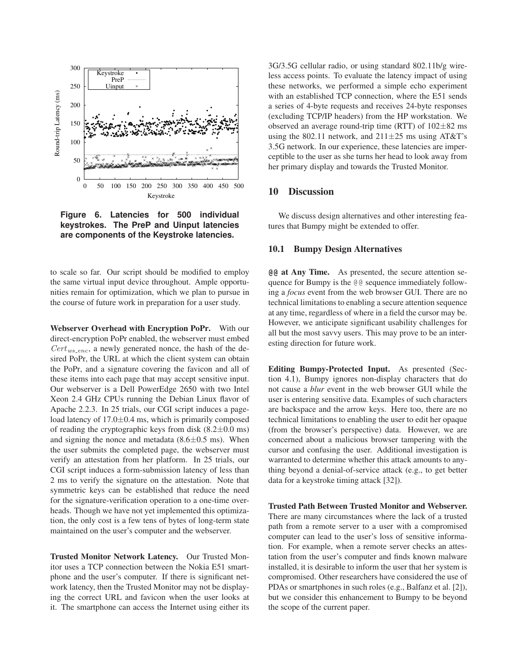

**Figure 6. Latencies for 500 individual keystrokes. The PreP and Uinput latencies are components of the Keystroke latencies.**

to scale so far. Our script should be modified to employ the same virtual input device throughout. Ample opportunities remain for optimization, which we plan to pursue in the course of future work in preparation for a user study.

**Webserver Overhead with Encryption PoPr.** With our direct-encryption PoPr enabled, the webserver must embed  $Cert_{ws\_enc}$ , a newly generated nonce, the hash of the desired PoPr, the URL at which the client system can obtain the PoPr, and a signature covering the favicon and all of these items into each page that may accept sensitive input. Our webserver is a Dell PowerEdge 2650 with two Intel Xeon 2.4 GHz CPUs running the Debian Linux flavor of Apache 2.2.3. In 25 trials, our CGI script induces a pageload latency of  $17.0 \pm 0.4$  ms, which is primarily composed of reading the cryptographic keys from disk  $(8.2 \pm 0.0 \text{ ms})$ and signing the nonce and metadata  $(8.6 \pm 0.5 \text{ ms})$ . When the user submits the completed page, the webserver must verify an attestation from her platform. In 25 trials, our CGI script induces a form-submission latency of less than 2 ms to verify the signature on the attestation. Note that symmetric keys can be established that reduce the need for the signature-verification operation to a one-time overheads. Though we have not yet implemented this optimization, the only cost is a few tens of bytes of long-term state maintained on the user's computer and the webserver.

**Trusted Monitor Network Latency.** Our Trusted Monitor uses a TCP connection between the Nokia E51 smartphone and the user's computer. If there is significant network latency, then the Trusted Monitor may not be displaying the correct URL and favicon when the user looks at it. The smartphone can access the Internet using either its

3G/3.5G cellular radio, or using standard 802.11b/g wireless access points. To evaluate the latency impact of using these networks, we performed a simple echo experiment with an established TCP connection, where the E51 sends a series of 4-byte requests and receives 24-byte responses (excluding TCP/IP headers) from the HP workstation. We observed an average round-trip time (RTT) of  $102\pm82$  ms using the 802.11 network, and  $211\pm 25$  ms using AT&T's 3.5G network. In our experience, these latencies are imperceptible to the user as she turns her head to look away from her primary display and towards the Trusted Monitor.

# **10 Discussion**

We discuss design alternatives and other interesting features that Bumpy might be extended to offer.

#### **10.1 Bumpy Design Alternatives**

**@@ at Any Time.** As presented, the secure attention sequence for Bumpy is the @@ sequence immediately following a *focus* event from the web browser GUI. There are no technical limitations to enabling a secure attention sequence at any time, regardless of where in a field the cursor may be. However, we anticipate significant usability challenges for all but the most savvy users. This may prove to be an interesting direction for future work.

**Editing Bumpy-Protected Input.** As presented (Section 4.1), Bumpy ignores non-display characters that do not cause a *blur* event in the web browser GUI while the user is entering sensitive data. Examples of such characters are backspace and the arrow keys. Here too, there are no technical limitations to enabling the user to edit her opaque (from the browser's perspective) data. However, we are concerned about a malicious browser tampering with the cursor and confusing the user. Additional investigation is warranted to determine whether this attack amounts to anything beyond a denial-of-service attack (e.g., to get better data for a keystroke timing attack [32]).

**Trusted Path Between Trusted Monitor and Webserver.** There are many circumstances where the lack of a trusted path from a remote server to a user with a compromised computer can lead to the user's loss of sensitive information. For example, when a remote server checks an attestation from the user's computer and finds known malware installed, it is desirable to inform the user that her system is compromised. Other researchers have considered the use of PDAs or smartphones in such roles (e.g., Balfanz et al. [2]), but we consider this enhancement to Bumpy to be beyond the scope of the current paper.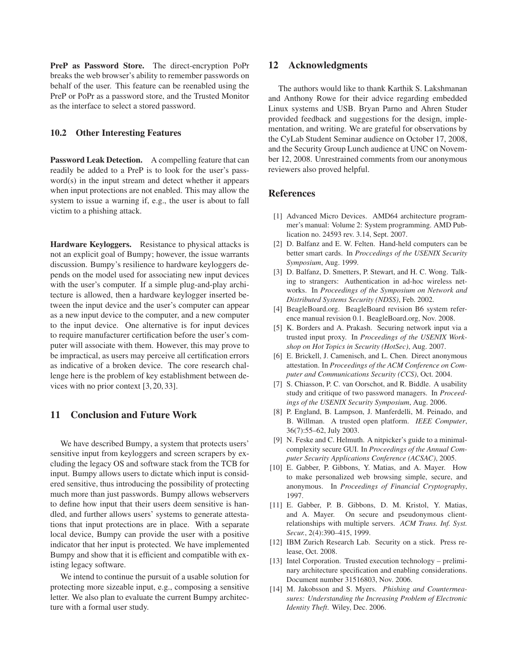**PreP as Password Store.** The direct-encryption PoPr breaks the web browser's ability to remember passwords on behalf of the user. This feature can be reenabled using the PreP or PoPr as a password store, and the Trusted Monitor as the interface to select a stored password.

### **10.2 Other Interesting Features**

**Password Leak Detection.** A compelling feature that can readily be added to a PreP is to look for the user's password(s) in the input stream and detect whether it appears when input protections are not enabled. This may allow the system to issue a warning if, e.g., the user is about to fall victim to a phishing attack.

**Hardware Keyloggers.** Resistance to physical attacks is not an explicit goal of Bumpy; however, the issue warrants discussion. Bumpy's resilience to hardware keyloggers depends on the model used for associating new input devices with the user's computer. If a simple plug-and-play architecture is allowed, then a hardware keylogger inserted between the input device and the user's computer can appear as a new input device to the computer, and a new computer to the input device. One alternative is for input devices to require manufacturer certification before the user's computer will associate with them. However, this may prove to be impractical, as users may perceive all certification errors as indicative of a broken device. The core research challenge here is the problem of key establishment between devices with no prior context [3, 20, 33].

# **11 Conclusion and Future Work**

We have described Bumpy, a system that protects users' sensitive input from keyloggers and screen scrapers by excluding the legacy OS and software stack from the TCB for input. Bumpy allows users to dictate which input is considered sensitive, thus introducing the possibility of protecting much more than just passwords. Bumpy allows webservers to define how input that their users deem sensitive is handled, and further allows users' systems to generate attestations that input protections are in place. With a separate local device, Bumpy can provide the user with a positive indicator that her input is protected. We have implemented Bumpy and show that it is efficient and compatible with existing legacy software.

We intend to continue the pursuit of a usable solution for protecting more sizeable input, e.g., composing a sensitive letter. We also plan to evaluate the current Bumpy architecture with a formal user study.

## **12 Acknowledgments**

The authors would like to thank Karthik S. Lakshmanan and Anthony Rowe for their advice regarding embedded Linux systems and USB. Bryan Parno and Ahren Studer provided feedback and suggestions for the design, implementation, and writing. We are grateful for observations by the CyLab Student Seminar audience on October 17, 2008, and the Security Group Lunch audience at UNC on November 12, 2008. Unrestrained comments from our anonymous reviewers also proved helpful.

## **References**

- [1] Advanced Micro Devices. AMD64 architecture programmer's manual: Volume 2: System programming. AMD Publication no. 24593 rev. 3.14, Sept. 2007.
- [2] D. Balfanz and E. W. Felten. Hand-held computers can be better smart cards. In *Proccedings of the USENIX Security Symposium*, Aug. 1999.
- [3] D. Balfanz, D. Smetters, P. Stewart, and H. C. Wong. Talking to strangers: Authentication in ad-hoc wireless networks. In *Proceedings of the Symposium on Network and Distributed Systems Security (NDSS)*, Feb. 2002.
- [4] BeagleBoard.org. BeagleBoard revision B6 system reference manual revision 0.1. BeagleBoard.org, Nov. 2008.
- [5] K. Borders and A. Prakash. Securing network input via a trusted input proxy. In *Proceedings of the USENIX Workshop on Hot Topics in Security (HotSec)*, Aug. 2007.
- [6] E. Brickell, J. Camenisch, and L. Chen. Direct anonymous attestation. In *Proceedings of the ACM Conference on Computer and Communications Security (CCS)*, Oct. 2004.
- [7] S. Chiasson, P. C. van Oorschot, and R. Biddle. A usability study and critique of two password managers. In *Proceedings of the USENIX Security Symposium*, Aug. 2006.
- [8] P. England, B. Lampson, J. Manferdelli, M. Peinado, and B. Willman. A trusted open platform. *IEEE Computer*, 36(7):55–62, July 2003.
- [9] N. Feske and C. Helmuth. A nitpicker's guide to a minimalcomplexity secure GUI. In *Proceedings of the Annual Computer Security Applications Conference (ACSAC)*, 2005.
- [10] E. Gabber, P. Gibbons, Y. Matias, and A. Mayer. How to make personalized web browsing simple, secure, and anonymous. In *Proceedings of Financial Cryptography*, 1997.
- [11] E. Gabber, P. B. Gibbons, D. M. Kristol, Y. Matias, and A. Mayer. On secure and pseudonymous clientrelationships with multiple servers. *ACM Trans. Inf. Syst. Secur.*, 2(4):390–415, 1999.
- [12] IBM Zurich Research Lab. Security on a stick. Press release, Oct. 2008.
- [13] Intel Corporation. Trusted execution technology preliminary architecture specification and enabling considerations. Document number 31516803, Nov. 2006.
- [14] M. Jakobsson and S. Myers. *Phishing and Countermeasures: Understanding the Increasing Problem of Electronic Identity Theft*. Wiley, Dec. 2006.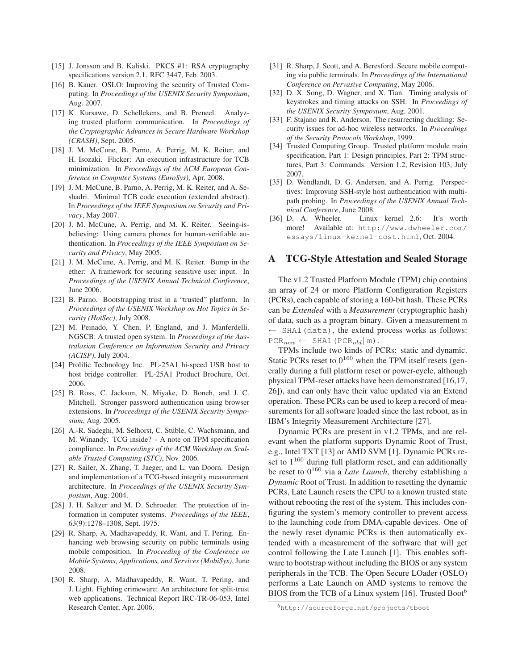- [15] J. Jonsson and B. Kaliski. PKCS #1: RSA cryptography specifications version 2.1. RFC 3447, Feb. 2003.
- [16] B. Kauer. OSLO: Improving the security of Trusted Computing. In *Proceedings of the USENIX Security Symposium*, Aug. 2007.
- [17] K. Kursawe, D. Schellekens, and B. Preneel. Analyzing trusted platform communication. In *Proceedings of the Cryptographic Advances in Secure Hardware Workshop (CRASH)*, Sept. 2005.
- [18] J. M. McCune, B. Parno, A. Perrig, M. K. Reiter, and H. Isozaki. Flicker: An execution infrastructure for TCB minimization. In *Proceedings of the ACM European Conference in Computer Systems (EuroSys)*, Apr. 2008.
- [19] J. M. McCune, B. Parno, A. Perrig, M. K. Reiter, and A. Seshadri. Minimal TCB code execution (extended abstract). In *Proceedings of the IEEE Symposium on Security and Privacy*, May 2007.
- [20] J. M. McCune, A. Perrig, and M. K. Reiter. Seeing-isbelieving: Using camera phones for human-verifiable authentication. In *Proceedings of the IEEE Symposium on Security and Privacy*, May 2005.
- [21] J. M. McCune, A. Perrig, and M. K. Reiter. Bump in the ether: A framework for securing sensitive user input. In *Proceedings of the USENIX Annual Technical Conference*, June 2006.
- [22] B. Parno. Bootstrapping trust in a "trusted" platform. In *Proceedings of the USENIX Workshop on Hot Topics in Security (HotSec)*, July 2008.
- [23] M. Peinado, Y. Chen, P. England, and J. Manferdelli. NGSCB: A trusted open system. In *Proceedings of the Australasian Conference on Information Security and Privacy (ACISP)*, July 2004.
- [24] Prolific Technology Inc. PL-25A1 hi-speed USB host to host bridge controller. PL-25A1 Product Brochure, Oct. 2006.
- [25] B. Ross, C. Jackson, N. Miyake, D. Boneh, and J. C. Mitchell. Stronger password authentication using browser extensions. In *Proceedings of the USENIX Security Symposium*, Aug. 2005.
- [26] A.-R. Sadeghi, M. Selhorst, C. Stüble, C. Wachsmann, and M. Winandy. TCG inside? - A note on TPM specification compliance. In *Proceedings of the ACM Workshop on Scalable Trusted Computing (STC)*, Nov. 2006.
- [27] R. Sailer, X. Zhang, T. Jaeger, and L. van Doorn. Design and implementation of a TCG-based integrity measurement architecture. In *Proceedings of the USENIX Security Symposium*, Aug. 2004.
- [28] J. H. Saltzer and M. D. Schroeder. The protection of information in computer systems. *Proceedings of the IEEE*, 63(9):1278–1308, Sept. 1975.
- [29] R. Sharp, A. Madhavapeddy, R. Want, and T. Pering. Enhancing web browsing security on public terminals using mobile composition. In *Proceeding of the Conference on Mobile Systems, Applications, and Services (MobiSys)*, June 2008.
- [30] R. Sharp, A. Madhavapeddy, R. Want, T. Pering, and J. Light. Fighting crimeware: An architecture for split-trust web applications. Technical Report IRC-TR-06-053, Intel Research Center, Apr. 2006.
- [31] R. Sharp, J. Scott, and A. Beresford. Secure mobile computing via public terminals. In *Proceedings of the International Conference on Pervasive Computing*, May 2006.
- [32] D. X. Song, D. Wagner, and X. Tian. Timing analysis of keystrokes and timing attacks on SSH. In *Proceedings of the USENIX Security Symposium*, Aug. 2001.
- [33] F. Stajano and R. Anderson. The resurrecting duckling: Security issues for ad-hoc wireless networks. In *Proceedings of the Security Protocols Workshop*, 1999.
- [34] Trusted Computing Group. Trusted platform module main specification, Part 1: Design principles, Part 2: TPM structures, Part 3: Commands. Version 1.2, Revision 103, July 2007.
- [35] D. Wendlandt, D. G. Andersen, and A. Perrig. Perspectives: Improving SSH-style host authentication with multipath probing. In *Proceedings of the USENIX Annual Technical Conference*, June 2008.
- [36] D. A. Wheeler. Linux kernel 2.6: It's worth more! Available at: http://www.dwheeler.com/ essays/linux-kernel-cost.html, Oct. 2004.

### **A TCG-Style Attestation and Sealed Storage**

The v1.2 Trusted Platform Module (TPM) chip contains an array of 24 or more Platform Configuration Registers (PCRs), each capable of storing a 160-bit hash. These PCRs can be *Extended* with a *Measurement* (cryptographic hash) of data, such as a program binary. Given a measurement m  $\leftarrow$  SHA1(data), the extend process works as follows:  $PCR_{new} \leftarrow \text{SHA1 (PCR}_{old} || m).$ 

TPMs include two kinds of PCRs: static and dynamic. Static PCRs reset to  $0^{160}$  when the TPM itself resets (generally during a full platform reset or power-cycle, although physical TPM-reset attacks have been demonstrated [16,17, 26]), and can only have their value updated via an Extend operation. These PCRs can be used to keep a record of measurements for all software loaded since the last reboot, as in IBM's Integrity Measurement Architecture [27].

Dynamic PCRs are present in v1.2 TPMs, and are relevant when the platform supports Dynamic Root of Trust, e.g., Intel TXT [13] or AMD SVM [1]. Dynamic PCRs reset to  $1^{160}$  during full platform reset, and can additionally be reset to  $0^{160}$  via a *Late Launch*, thereby establishing a *Dynamic* Root of Trust. In addition to resetting the dynamic PCRs, Late Launch resets the CPU to a known trusted state without rebooting the rest of the system. This includes configuring the system's memory controller to prevent access to the launching code from DMA-capable devices. One of the newly reset dynamic PCRs is then automatically extended with a measurement of the software that will get control following the Late Launch [1]. This enables software to bootstrap without including the BIOS or any system peripherals in the TCB. The Open Secure LOader (OSLO) performs a Late Launch on AMD systems to remove the BIOS from the TCB of a Linux system [16]. Trusted Boot $<sup>6</sup>$ </sup>

<sup>6</sup>http://sourceforge.net/projects/tboot